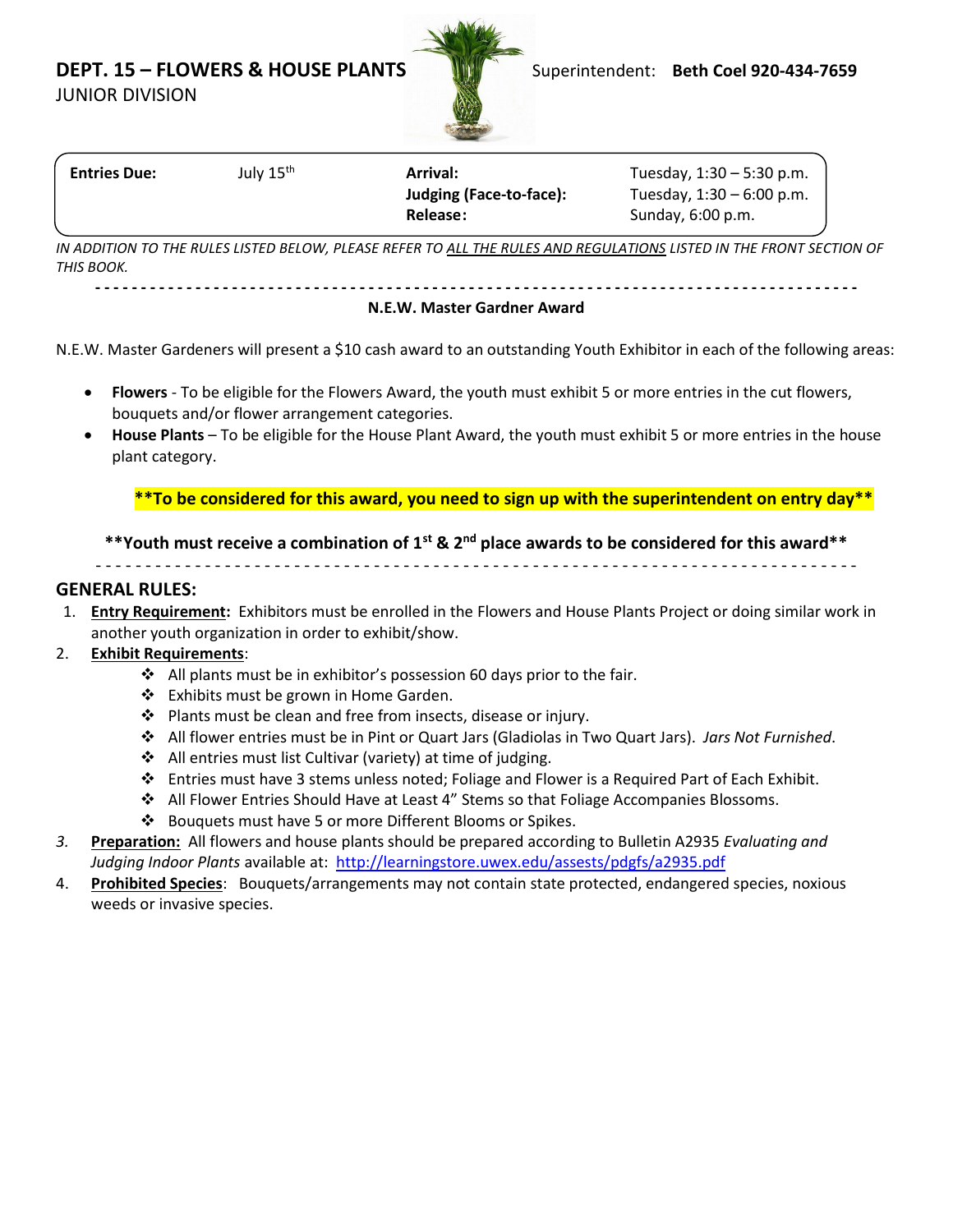**DEPT. 15 – FLOWERS & HOUSE PLANTS** Superintendent: **Beth Coel 920-434-7659** 

JUNIOR DIVISION



| <b>Entries Due:</b> | July 15 <sup>th</sup> | Arrival:                | Tuesday, $1:30 - 5:30$ p.m. |
|---------------------|-----------------------|-------------------------|-----------------------------|
|                     |                       | Judging (Face-to-face): | Tuesday, 1:30 - 6:00 p.m.   |
|                     |                       | Release:                | Sunday, 6:00 p.m.           |
|                     |                       |                         |                             |

*IN ADDITION TO THE RULES LISTED BELOW, PLEASE REFER TO ALL THE RULES AND REGULATIONS LISTED IN THE FRONT SECTION OF THIS BOOK.*

**- - - - - - - - - - - - - - - - - - - - - - - - - - - - - - - - - - - - - - - - - - - - - - - - - - - - - - - - - - - - - - - - - - - - - - - - - - - - - - - - - - - -**

#### **N.E.W. Master Gardner Award**

N.E.W. Master Gardeners will present a \$10 cash award to an outstanding Youth Exhibitor in each of the following areas:

- **Flowers** To be eligible for the Flowers Award, the youth must exhibit 5 or more entries in the cut flowers, bouquets and/or flower arrangement categories.
- **House Plants** To be eligible for the House Plant Award, the youth must exhibit 5 or more entries in the house plant category.

**\*\*To be considered for this award, you need to sign up with the superintendent on entry day\*\***

### **\*\*Youth must receive a combination of 1st & 2 nd place awards to be considered for this award\*\***

- - - - - - - - - - - - - - - - - - - - - - - - - - - - - - - - - - - - - - - - - - - - - - - - - - - - - - - - - - - - - - - - - - - - - - - - - - - - -

#### **GENERAL RULES:**

1. **Entry Requirement:** Exhibitors must be enrolled in the Flowers and House Plants Project or doing similar work in another youth organization in order to exhibit/show.

### 2. **Exhibit Requirements**:

- ❖ All plants must be in exhibitor's possession 60 days prior to the fair.
- ❖ Exhibits must be grown in Home Garden.
- ❖ Plants must be clean and free from insects, disease or injury.
- ❖ All flower entries must be in Pint or Quart Jars (Gladiolas in Two Quart Jars). *Jars Not Furnished*.
- ❖ All entries must list Cultivar (variety) at time of judging.
- ❖ Entries must have 3 stems unless noted; Foliage and Flower is a Required Part of Each Exhibit.
- ❖ All Flower Entries Should Have at Least 4" Stems so that Foliage Accompanies Blossoms.
- ❖ Bouquets must have 5 or more Different Blooms or Spikes.
- *3.* **Preparation:** All flowers and house plants should be prepared according to Bulletin A2935 *Evaluating and Judging Indoor Plants* available at: <http://learningstore.uwex.edu/assests/pdgfs/a2935.pdf>
- 4. **Prohibited Species**: Bouquets/arrangements may not contain state protected, endangered species, noxious weeds or invasive species.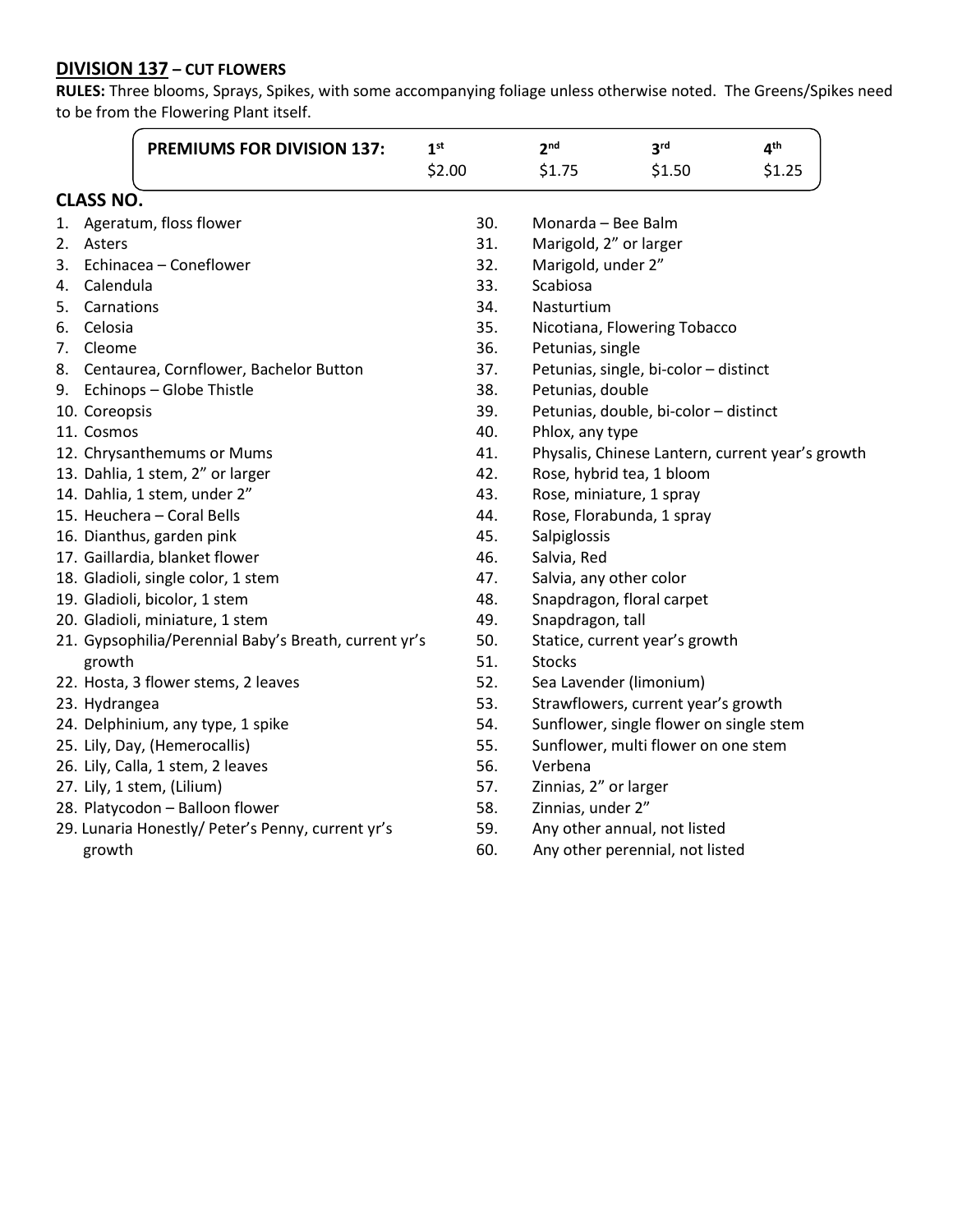# **DIVISION 137 – CUT FLOWERS**

**RULES:** Three blooms, Sprays, Spikes, with some accompanying foliage unless otherwise noted. The Greens/Spikes need to be from the Flowering Plant itself.

|    |                  | <b>PREMIUMS FOR DIVISION 137:</b>                     | 1 <sup>st</sup> | 2 <sup>nd</sup>       | 3 <sup>rd</sup>                                  | 4 <sup>th</sup> |  |
|----|------------------|-------------------------------------------------------|-----------------|-----------------------|--------------------------------------------------|-----------------|--|
|    |                  |                                                       | \$2.00          | \$1.75                | \$1.50                                           | \$1.25          |  |
|    | <b>CLASS NO.</b> |                                                       |                 |                       |                                                  |                 |  |
| 1. |                  | Ageratum, floss flower                                | 30.             | Monarda - Bee Balm    |                                                  |                 |  |
|    | 2. Asters        |                                                       | 31.             |                       | Marigold, 2" or larger                           |                 |  |
|    |                  | 3. Echinacea - Coneflower                             | 32.             | Marigold, under 2"    |                                                  |                 |  |
|    | 4. Calendula     |                                                       | 33.             | Scabiosa              |                                                  |                 |  |
|    | 5. Carnations    |                                                       | 34.             | Nasturtium            |                                                  |                 |  |
|    | 6. Celosia       |                                                       | 35.             |                       | Nicotiana, Flowering Tobacco                     |                 |  |
| 7. | Cleome           |                                                       | 36.             | Petunias, single      |                                                  |                 |  |
|    |                  | 8. Centaurea, Cornflower, Bachelor Button             | 37.             |                       | Petunias, single, bi-color - distinct            |                 |  |
|    |                  | 9. Echinops - Globe Thistle                           | 38.             | Petunias, double      |                                                  |                 |  |
|    | 10. Coreopsis    |                                                       | 39.             |                       | Petunias, double, bi-color - distinct            |                 |  |
|    | 11. Cosmos       |                                                       | 40.             | Phlox, any type       |                                                  |                 |  |
|    |                  | 12. Chrysanthemums or Mums                            | 41.             |                       | Physalis, Chinese Lantern, current year's growth |                 |  |
|    |                  | 13. Dahlia, 1 stem, 2" or larger                      | 42.             |                       | Rose, hybrid tea, 1 bloom                        |                 |  |
|    |                  | 14. Dahlia, 1 stem, under 2"                          | 43.             |                       | Rose, miniature, 1 spray                         |                 |  |
|    |                  | 15. Heuchera - Coral Bells                            | 44.             |                       | Rose, Florabunda, 1 spray                        |                 |  |
|    |                  | 16. Dianthus, garden pink                             | 45.             | Salpiglossis          |                                                  |                 |  |
|    |                  | 17. Gaillardia, blanket flower                        | 46.             | Salvia, Red           |                                                  |                 |  |
|    |                  | 18. Gladioli, single color, 1 stem                    | 47.             |                       | Salvia, any other color                          |                 |  |
|    |                  | 19. Gladioli, bicolor, 1 stem                         | 48.             |                       | Snapdragon, floral carpet                        |                 |  |
|    |                  | 20. Gladioli, miniature, 1 stem                       | 49.             | Snapdragon, tall      |                                                  |                 |  |
|    |                  | 21. Gypsophilia/Perennial Baby's Breath, current yr's | 50.             |                       | Statice, current year's growth                   |                 |  |
|    | growth           |                                                       | 51.             | <b>Stocks</b>         |                                                  |                 |  |
|    |                  | 22. Hosta, 3 flower stems, 2 leaves                   | 52.             |                       | Sea Lavender (limonium)                          |                 |  |
|    | 23. Hydrangea    |                                                       | 53.             |                       | Strawflowers, current year's growth              |                 |  |
|    |                  | 24. Delphinium, any type, 1 spike                     | 54.             |                       | Sunflower, single flower on single stem          |                 |  |
|    |                  | 25. Lily, Day, (Hemerocallis)                         | 55.             |                       | Sunflower, multi flower on one stem              |                 |  |
|    |                  | 26. Lily, Calla, 1 stem, 2 leaves                     | 56.             | Verbena               |                                                  |                 |  |
|    |                  | 27. Lily, 1 stem, (Lilium)                            | 57.             | Zinnias, 2" or larger |                                                  |                 |  |
|    |                  | 28. Platycodon - Balloon flower                       | 58.             | Zinnias, under 2"     |                                                  |                 |  |
|    |                  | 29. Lunaria Honestly/ Peter's Penny, current yr's     | 59.             |                       | Any other annual, not listed                     |                 |  |
|    | growth           |                                                       | 60.             |                       | Any other perennial, not listed                  |                 |  |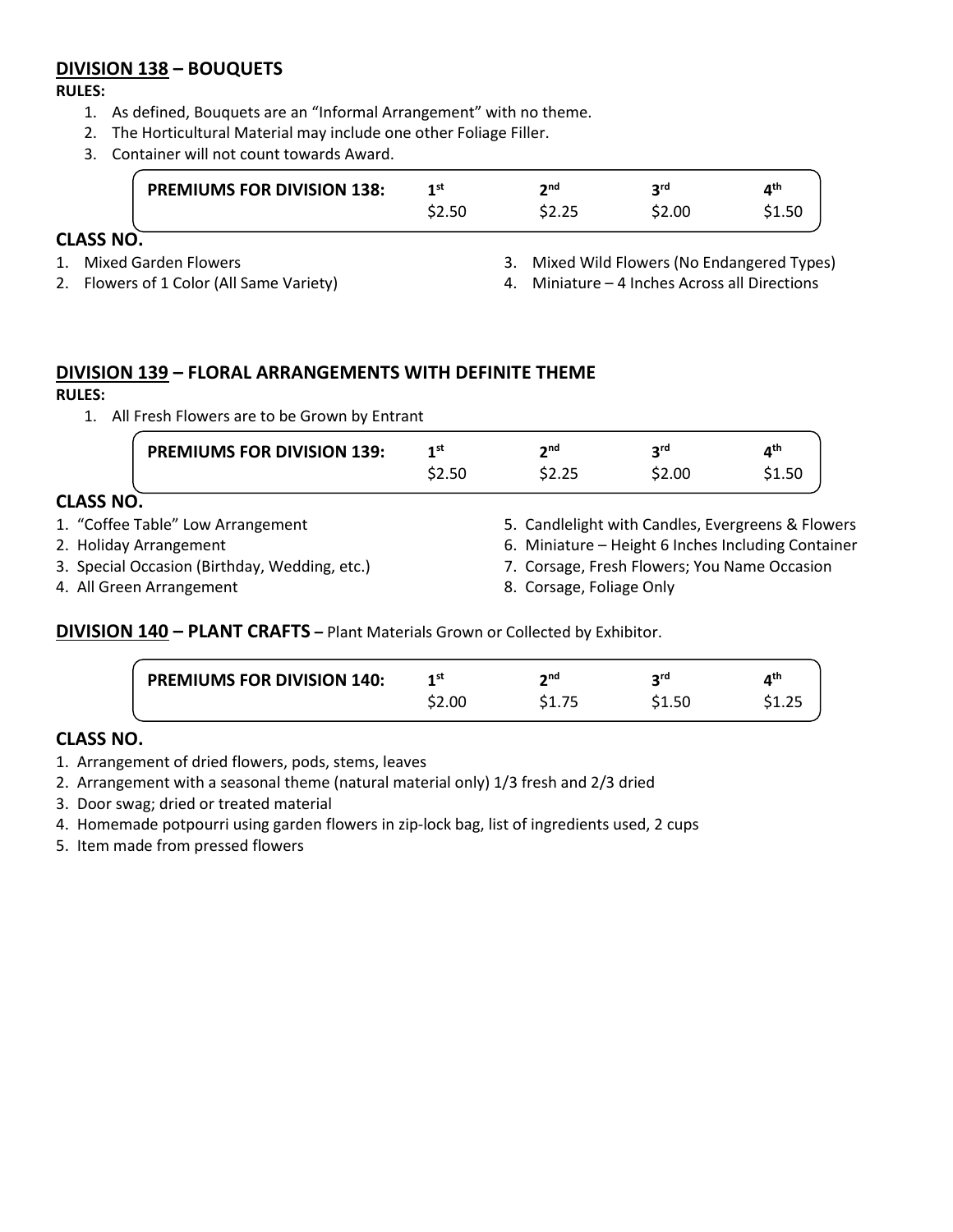# **DIVISION 138 – BOUQUETS**

#### **RULES:**

- 1. As defined, Bouquets are an "Informal Arrangement" with no theme.
- 2. The Horticultural Material may include one other Foliage Filler.
- 3. Container will not count towards Award.

|               | <b>PREMIUMS FOR DIVISION 138:</b> | 1st    | ንnd | ord    | лth    |
|---------------|-----------------------------------|--------|-----|--------|--------|
|               |                                   | \$2.50 |     | \$2.00 | \$1.50 |
| <b>ASS NO</b> |                                   |        |     |        |        |

# **CLASS NO.**

- 1. Mixed Garden Flowers
- 2. Flowers of 1 Color (All Same Variety)
- 3. Mixed Wild Flowers (No Endangered Types)
- 4. Miniature 4 Inches Across all Directions

# **DIVISION 139 – FLORAL ARRANGEMENTS WITH DEFINITE THEME**

### **RULES:**

1. All Fresh Flowers are to be Grown by Entrant

|                  | <b>PREMIUMS FOR DIVISION 139:</b>          | 1 <sup>st</sup> | 2 <sup>nd</sup>                                    | 3 <sub>rd</sub> | $4^{\text{th}}$ |
|------------------|--------------------------------------------|-----------------|----------------------------------------------------|-----------------|-----------------|
|                  |                                            | \$2.50          | \$2.25                                             | \$2.00          | \$1.50          |
| <b>CLASS NO.</b> |                                            |                 |                                                    |                 |                 |
|                  | 1. "Coffee Table" Low Arrangement          |                 | 5. Candlelight with Candles, Evergreens & Flowers  |                 |                 |
|                  | 2. Holiday Arrangement                     |                 | 6. Miniature – Height 6 Inches Including Container |                 |                 |
|                  | 2 Concial Occasion (Birthday Woodding atc) |                 | 7 Corsago, Fresh Flowers: Vou Name Ossasion        |                 |                 |

3. Special Occasion (Birthday, Wedding, etc.)

4. All Green Arrangement

- 7. Corsage, Fresh Flowers; You Name Occasion
- 8. Corsage, Foliage Only

**DIVISION 140 – PLANT CRAFTS –** Plant Materials Grown or Collected by Exhibitor.

| <b>PREMIUMS FOR DIVISION 140:</b> | 1st    | າກd | ord    | ⊿th    |
|-----------------------------------|--------|-----|--------|--------|
|                                   | \$2.00 |     | \$1.50 | \$1.25 |
|                                   |        |     |        |        |

# **CLASS NO.**

- 1. Arrangement of dried flowers, pods, stems, leaves
- 2. Arrangement with a seasonal theme (natural material only) 1/3 fresh and 2/3 dried
- 3. Door swag; dried or treated material
- 4. Homemade potpourri using garden flowers in zip-lock bag, list of ingredients used, 2 cups
- 5. Item made from pressed flowers